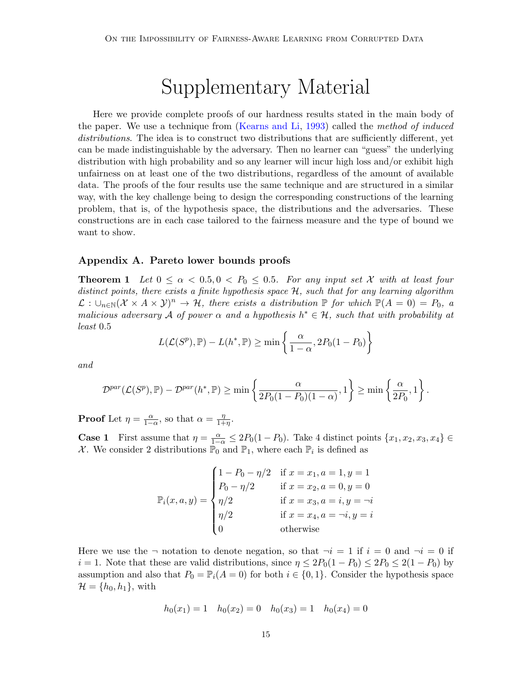## Supplementary Material

Here we provide complete proofs of our hardness results stated in the main body of the paper. We use a technique from (Kearns and Li, 1993) called the method of induced distributions. The idea is to construct two distributions that are sufficiently different, yet can be made indistinguishable by the adversary. Then no learner can "guess" the underlying distribution with high probability and so any learner will incur high loss and/or exhibit high unfairness on at least one of the two distributions, regardless of the amount of available data. The proofs of the four results use the same technique and are structured in a similar way, with the key challenge being to design the corresponding constructions of the learning problem, that is, of the hypothesis space, the distributions and the adversaries. These constructions are in each case tailored to the fairness measure and the type of bound we want to show.

## Appendix A. Pareto lower bounds proofs

<span id="page-0-0"></span>**Theorem 1** Let  $0 \le \alpha < 0.5, 0 < P_0 \le 0.5$ . For any input set X with at least four distinct points, there exists a finite hypothesis space  $H$ , such that for any learning algorithm  $\mathcal{L}: \bigcup_{n\in\mathbb{N}}(\mathcal{X}\times A\times\mathcal{Y})^n\to\mathcal{H}$ , there exists a distribution  $\mathbb{P}$  for which  $\mathbb{P}(A=0)=P_0$ , a malicious adversary A of power  $\alpha$  and a hypothesis  $h^* \in \mathcal{H}$ , such that with probability at least 0.5

$$
L(\mathcal{L}(S^{p}), \mathbb{P}) - L(h^*, \mathbb{P}) \ge \min\left\{\frac{\alpha}{1-\alpha}, 2P_0(1-P_0)\right\}
$$

and

$$
\mathcal{D}^{par}(\mathcal{L}(S^p), \mathbb{P}) - \mathcal{D}^{par}(h^*, \mathbb{P}) \ge \min\left\{\frac{\alpha}{2P_0(1 - P_0)(1 - \alpha)}, 1\right\} \ge \min\left\{\frac{\alpha}{2P_0}, 1\right\}.
$$

**Proof** Let  $\eta = \frac{\alpha}{1-\alpha}$ , so that  $\alpha = \frac{\eta}{1+\alpha}$  $\frac{\eta}{1+\eta}$ .

**Case 1** First assume that  $\eta = \frac{\alpha}{1-\alpha} \leq 2P_0(1-P_0)$ . Take 4 distinct points  $\{x_1, x_2, x_3, x_4\} \in$ X. We consider 2 distributions  $\mathbb{P}_0$  and  $\mathbb{P}_1$ , where each  $\mathbb{P}_i$  is defined as

$$
\mathbb{P}_i(x, a, y) = \begin{cases}\n1 - P_0 - \eta/2 & \text{if } x = x_1, a = 1, y = 1 \\
P_0 - \eta/2 & \text{if } x = x_2, a = 0, y = 0 \\
\eta/2 & \text{if } x = x_3, a = i, y = -i \\
\eta/2 & \text{if } x = x_4, a = -i, y = i \\
0 & \text{otherwise}\n\end{cases}
$$

Here we use the  $\neg$  notation to denote negation, so that  $\neg i = 1$  if  $i = 0$  and  $\neg i = 0$  if  $i = 1$ . Note that these are valid distributions, since  $\eta \leq 2P_0(1 - P_0) \leq 2P_0 \leq 2(1 - P_0)$  by assumption and also that  $P_0 = \mathbb{P}_i(A = 0)$  for both  $i \in \{0, 1\}$ . Consider the hypothesis space  $\mathcal{H} = \{h_0, h_1\}$ , with

$$
h_0(x_1) = 1 \quad h_0(x_2) = 0 \quad h_0(x_3) = 1 \quad h_0(x_4) = 0
$$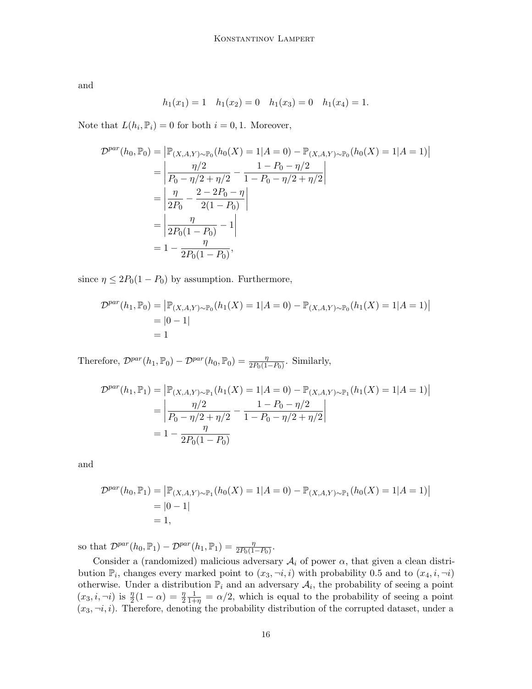and

$$
h_1(x_1) = 1
$$
  $h_1(x_2) = 0$   $h_1(x_3) = 0$   $h_1(x_4) = 1$ .

Note that  $L(h_i, \mathbb{P}_i) = 0$  for both  $i = 0, 1$ . Moreover,

$$
\mathcal{D}^{par}(h_0, \mathbb{P}_0) = |\mathbb{P}_{(X, A, Y) \sim \mathbb{P}_0}(h_0(X) = 1 | A = 0) - \mathbb{P}_{(X, A, Y) \sim \mathbb{P}_0}(h_0(X) = 1 | A = 1)|
$$
  
= 
$$
\left| \frac{\eta/2}{P_0 - \eta/2 + \eta/2} - \frac{1 - P_0 - \eta/2}{1 - P_0 - \eta/2 + \eta/2} \right|
$$
  
= 
$$
\left| \frac{\eta}{2P_0} - \frac{2 - 2P_0 - \eta}{2(1 - P_0)} \right|
$$
  
= 
$$
\left| \frac{\eta}{2P_0(1 - P_0)} - 1 \right|
$$
  
= 
$$
1 - \frac{\eta}{2P_0(1 - P_0)},
$$

since  $\eta \leq 2P_0(1 - P_0)$  by assumption. Furthermore,

$$
\mathcal{D}^{par}(h_1, \mathbb{P}_0) = |\mathbb{P}_{(X, A, Y) \sim \mathbb{P}_0}(h_1(X) = 1 | A = 0) - \mathbb{P}_{(X, A, Y) \sim \mathbb{P}_0}(h_1(X) = 1 | A = 1)|
$$
  
= |0 - 1|  
= 1

Therefore,  $\mathcal{D}^{par}(h_1, \mathbb{P}_0) - \mathcal{D}^{par}(h_0, \mathbb{P}_0) = \frac{\eta}{2P_0(1-P_0)}$ . Similarly,

$$
\mathcal{D}^{par}(h_1, \mathbb{P}_1) = |\mathbb{P}_{(X, A, Y) \sim \mathbb{P}_1}(h_1(X) = 1 | A = 0) - \mathbb{P}_{(X, A, Y) \sim \mathbb{P}_1}(h_1(X) = 1 | A = 1)|
$$
  
= 
$$
\left| \frac{\eta/2}{P_0 - \eta/2 + \eta/2} - \frac{1 - P_0 - \eta/2}{1 - P_0 - \eta/2 + \eta/2} \right|
$$
  
= 
$$
1 - \frac{\eta}{2P_0(1 - P_0)}
$$

and

$$
\mathcal{D}^{par}(h_0, \mathbb{P}_1) = |\mathbb{P}_{(X, A, Y) \sim \mathbb{P}_1}(h_0(X) = 1 | A = 0) - \mathbb{P}_{(X, A, Y) \sim \mathbb{P}_1}(h_0(X) = 1 | A = 1)|
$$
  
= |0 - 1|  
= 1,

so that  $\mathcal{D}^{par}(h_0, \mathbb{P}_1) - \mathcal{D}^{par}(h_1, \mathbb{P}_1) = \frac{\eta}{2P_0(1-P_0)}$ .

Consider a (randomized) malicious adversary  $A_i$  of power  $\alpha$ , that given a clean distribution  $\mathbb{P}_i$ , changes every marked point to  $(x_3, \neg i, i)$  with probability 0.5 and to  $(x_4, i, \neg i)$ otherwise. Under a distribution  $\mathbb{P}_i$  and an adversary  $\mathcal{A}_i$ , the probability of seeing a point  $(x_3, i, \neg i)$  is  $\frac{\eta}{2}(1 - \alpha) = \frac{\eta}{2}$  $\frac{1}{1+\eta} = \alpha/2$ , which is equal to the probability of seeing a point  $(x_3, \neg i, i)$ . Therefore, denoting the probability distribution of the corrupted dataset, under a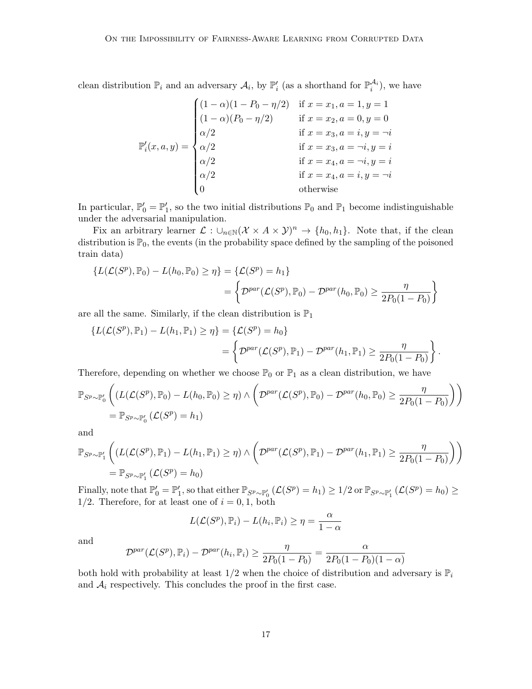clean distribution  $\mathbb{P}_i$  and an adversary  $\mathcal{A}_i$ , by  $\mathbb{P}'_i$  (as a shorthand for  $\mathbb{P}_i^{\mathcal{A}_i}$ ), we have

$$
\mathbb{P}'_i(x, a, y) = \begin{cases}\n(1 - \alpha)(1 - P_0 - \eta/2) & \text{if } x = x_1, a = 1, y = 1 \\
(1 - \alpha)(P_0 - \eta/2) & \text{if } x = x_2, a = 0, y = 0 \\
\alpha/2 & \text{if } x = x_3, a = i, y = -i \\
\alpha/2 & \text{if } x = x_3, a = -i, y = i \\
\alpha/2 & \text{if } x = x_4, a = -i, y = i \\
0 & \text{otherwise}\n\end{cases}
$$

In particular,  $\mathbb{P}'_0 = \mathbb{P}'_1$ , so the two initial distributions  $\mathbb{P}_0$  and  $\mathbb{P}_1$  become indistinguishable under the adversarial manipulation.

Fix an arbitrary learner  $\mathcal{L}: \cup_{n\in\mathbb{N}}(\mathcal{X}\times A\times\mathcal{Y})^n \to \{h_0, h_1\}$ . Note that, if the clean distribution is  $\mathbb{P}_0$ , the events (in the probability space defined by the sampling of the poisoned train data)

$$
\{L(\mathcal{L}(S^p), \mathbb{P}_0) - L(h_0, \mathbb{P}_0) \ge \eta\} = \{\mathcal{L}(S^p) = h_1\}
$$
  
= 
$$
\left\{\mathcal{D}^{par}(\mathcal{L}(S^p), \mathbb{P}_0) - \mathcal{D}^{par}(h_0, \mathbb{P}_0) \ge \frac{\eta}{2P_0(1 - P_0)}\right\}
$$

are all the same. Similarly, if the clean distribution is  $\mathbb{P}_1$ 

$$
\{L(\mathcal{L}(S^p), \mathbb{P}_1) - L(h_1, \mathbb{P}_1) \ge \eta\} = \{\mathcal{L}(S^p) = h_0\}
$$
  
= 
$$
\left\{\mathcal{D}^{par}(\mathcal{L}(S^p), \mathbb{P}_1) - \mathcal{D}^{par}(h_1, \mathbb{P}_1) \ge \frac{\eta}{2P_0(1 - P_0)}\right\}.
$$

Therefore, depending on whether we choose  $\mathbb{P}_0$  or  $\mathbb{P}_1$  as a clean distribution, we have

$$
\mathbb{P}_{S^p \sim \mathbb{P}_0'} \left( (L(\mathcal{L}(S^p), \mathbb{P}_0) - L(h_0, \mathbb{P}_0) \ge \eta) \wedge \left( \mathcal{D}^{par}(\mathcal{L}(S^p), \mathbb{P}_0) - \mathcal{D}^{par}(h_0, \mathbb{P}_0) \ge \frac{\eta}{2P_0(1 - P_0)} \right) \right)
$$
  
=  $\mathbb{P}_{S^p \sim \mathbb{P}_0'} (\mathcal{L}(S^p) = h_1)$ 

and

$$
\mathbb{P}_{S^p \sim \mathbb{P}'_1} \left( (L(\mathcal{L}(S^p), \mathbb{P}_1) - L(h_1, \mathbb{P}_1) \ge \eta) \wedge \left( \mathcal{D}^{par}(\mathcal{L}(S^p), \mathbb{P}_1) - \mathcal{D}^{par}(h_1, \mathbb{P}_1) \ge \frac{\eta}{2P_0(1 - P_0)} \right) \right)
$$
  
=  $\mathbb{P}_{S^p \sim \mathbb{P}'_1} (\mathcal{L}(S^p) = h_0)$ 

Finally, note that  $\mathbb{P}'_0 = \mathbb{P}'_1$ , so that either  $\mathbb{P}_{S^p \sim \mathbb{P}'_0}$   $(\mathcal{L}(S^p) = h_1) \geq 1/2$  or  $\mathbb{P}_{S^p \sim \mathbb{P}'_1}$   $(\mathcal{L}(S^p) = h_0) \geq$  $1/2$ . Therefore, for at least one of  $i = 0, 1$ , both

$$
L(\mathcal{L}(S^p), \mathbb{P}_i) - L(h_i, \mathbb{P}_i) \ge \eta = \frac{\alpha}{1 - \alpha}
$$

and

$$
\mathcal{D}^{par}(\mathcal{L}(S^p), \mathbb{P}_i) - \mathcal{D}^{par}(h_i, \mathbb{P}_i) \ge \frac{\eta}{2P_0(1 - P_0)} = \frac{\alpha}{2P_0(1 - P_0)(1 - \alpha)}
$$

both hold with probability at least  $1/2$  when the choice of distribution and adversary is  $\mathbb{P}_i$ and  $A_i$  respectively. This concludes the proof in the first case.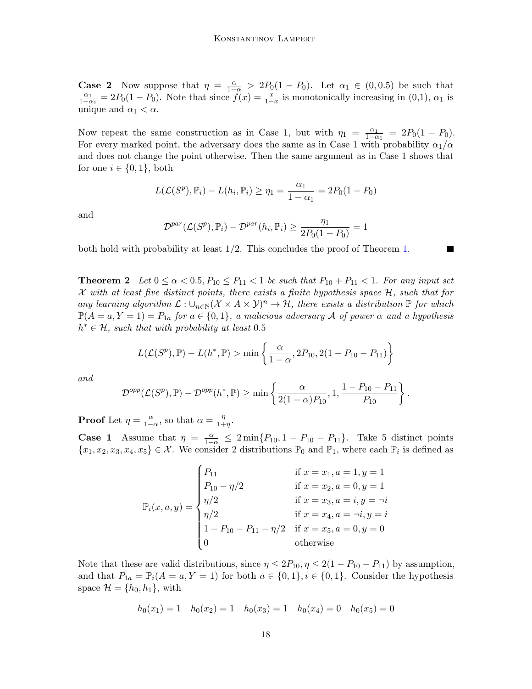**Case 2** Now suppose that  $\eta = \frac{\alpha}{1-\alpha} > 2P_0(1-P_0)$ . Let  $\alpha_1 \in (0,0.5)$  be such that  $\alpha_1$  $\frac{\alpha_1}{1-\alpha_1} = 2P_0(1-P_0)$ . Note that since  $\tilde{f}(x) = \frac{x}{1-x}$  is monotonically increasing in (0,1),  $\alpha_1$  is unique and  $\alpha_1 < \alpha$ .

Now repeat the same construction as in Case 1, but with  $\eta_1 = \frac{\alpha_1}{1-\alpha_1}$  $\frac{\alpha_1}{1-\alpha_1} = 2P_0(1-P_0).$ For every marked point, the adversary does the same as in Case 1 with probability  $\alpha_1/\alpha$ and does not change the point otherwise. Then the same argument as in Case 1 shows that for one  $i \in \{0,1\}$ , both

$$
L(\mathcal{L}(S^{p}), \mathbb{P}_{i}) - L(h_{i}, \mathbb{P}_{i}) \ge \eta_{1} = \frac{\alpha_{1}}{1 - \alpha_{1}} = 2P_{0}(1 - P_{0})
$$

and

$$
\mathcal{D}^{par}(\mathcal{L}(S^p), \mathbb{P}_i) - \mathcal{D}^{par}(h_i, \mathbb{P}_i) \ge \frac{\eta_1}{2P_0(1 - P_0)} = 1
$$

both hold with probability at least 1/2. This concludes the proof of Theorem [1.](#page-0-0)

<span id="page-3-0"></span>**Theorem 2** Let  $0 \leq \alpha < 0.5$ ,  $P_{10} \leq P_{11} < 1$  be such that  $P_{10} + P_{11} < 1$ . For any input set  $\mathcal X$  with at least five distinct points, there exists a finite hypothesis space  $\mathcal H$ , such that for any learning algorithm  $\mathcal{L}: \cup_{n\in\mathbb{N}}(\mathcal{X}\times A\times\mathcal{Y})^n\to\mathcal{H}$ , there exists a distribution  $\mathbb P$  for which  $\mathbb{P}(A=a, Y=1) = P_{1a}$  for  $a \in \{0,1\}$ , a malicious adversary A of power  $\alpha$  and a hypothesis  $h^* \in \mathcal{H}$ , such that with probability at least 0.5

$$
L(\mathcal{L}(S^{p}), \mathbb{P}) - L(h^{*}, \mathbb{P}) > \min \left\{ \frac{\alpha}{1 - \alpha}, 2P_{10}, 2(1 - P_{10} - P_{11}) \right\}
$$

and

$$
\mathcal{D}^{opp}(\mathcal{L}(S^p), \mathbb{P}) - \mathcal{D}^{opp}(h^*, \mathbb{P}) \ge \min\left\{\frac{\alpha}{2(1-\alpha)P_{10}}, 1, \frac{1-P_{10}-P_{11}}{P_{10}}\right\}.
$$

**Proof** Let  $\eta = \frac{\alpha}{1-\alpha}$ , so that  $\alpha = \frac{\eta}{1+\alpha}$  $\frac{\eta}{1+\eta}$ .

**Case 1** Assume that  $\eta = \frac{\alpha}{1-\alpha} \leq 2 \min\{P_{10}, 1 - P_{10} - P_{11}\}.$  Take 5 distinct points  $\{x_1, x_2, x_3, x_4, x_5\} \in \mathcal{X}$ . We consider 2 distributions  $\mathbb{P}_0$  and  $\mathbb{P}_1$ , where each  $\mathbb{P}_i$  is defined as

$$
\mathbb{P}_{i}(x, a, y) = \begin{cases}\nP_{11} & \text{if } x = x_{1}, a = 1, y = 1 \\
P_{10} - \eta/2 & \text{if } x = x_{2}, a = 0, y = 1 \\
\eta/2 & \text{if } x = x_{3}, a = i, y = -i \\
\eta/2 & \text{if } x = x_{4}, a = -i, y = i \\
1 - P_{10} - P_{11} - \eta/2 & \text{if } x = x_{5}, a = 0, y = 0 \\
0 & \text{otherwise}\n\end{cases}
$$

Note that these are valid distributions, since  $\eta \leq 2P_{10}, \eta \leq 2(1 - P_{10} - P_{11})$  by assumption, and that  $P_{1a} = \mathbb{P}_i(A = a, Y = 1)$  for both  $a \in \{0,1\}$ ,  $i \in \{0,1\}$ . Consider the hypothesis space  $\mathcal{H} = \{h_0, h_1\}$ , with

$$
h_0(x_1) = 1 \quad h_0(x_2) = 1 \quad h_0(x_3) = 1 \quad h_0(x_4) = 0 \quad h_0(x_5) = 0
$$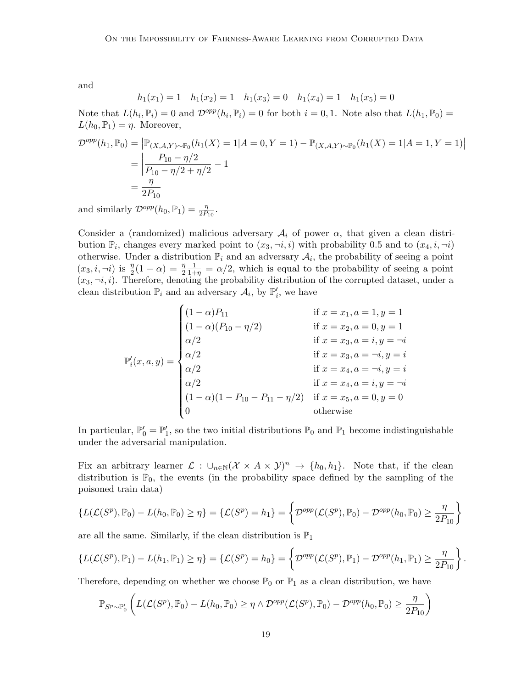and

$$
h_1(x_1) = 1
$$
  $h_1(x_2) = 1$   $h_1(x_3) = 0$   $h_1(x_4) = 1$   $h_1(x_5) = 0$ 

Note that  $L(h_i, \mathbb{P}_i) = 0$  and  $\mathcal{D}^{opp}(h_i, \mathbb{P}_i) = 0$  for both  $i = 0, 1$ . Note also that  $L(h_1, \mathbb{P}_0) =$  $L(h_0, \mathbb{P}_1) = \eta$ . Moreover,

$$
\mathcal{D}^{opp}(h_1, \mathbb{P}_0) = |\mathbb{P}_{(X, A, Y) \sim \mathbb{P}_0}(h_1(X) = 1 | A = 0, Y = 1) - \mathbb{P}_{(X, A, Y) \sim \mathbb{P}_0}(h_1(X) = 1 | A = 1, Y = 1)|
$$
  
= 
$$
\frac{P_{10} - \eta/2}{P_{10} - \eta/2 + \eta/2} - 1
$$
  
= 
$$
\frac{\eta}{2P_{10}}
$$

and similarly  $\mathcal{D}^{opp}(h_0, \mathbb{P}_1) = \frac{\eta}{2P_{10}}$ .

Consider a (randomized) malicious adversary  $A_i$  of power  $\alpha$ , that given a clean distribution  $\mathbb{P}_i$ , changes every marked point to  $(x_3, \neg i, i)$  with probability 0.5 and to  $(x_4, i, \neg i)$ otherwise. Under a distribution  $\mathbb{P}_i$  and an adversary  $\mathcal{A}_i$ , the probability of seeing a point  $(x_3, i, \neg i)$  is  $\frac{\eta}{2}(1 - \alpha) = \frac{\eta}{2}$  $\frac{1}{1+\eta} = \alpha/2$ , which is equal to the probability of seeing a point  $(x_3, \neg i, i)$ . Therefore, denoting the probability distribution of the corrupted dataset, under a clean distribution  $\mathbb{P}_i$  and an adversary  $\mathcal{A}_i$ , by  $\mathbb{P}'_i$ , we have

$$
\mathbb{P}'_i(x, a, y) = \begin{cases}\n(1 - \alpha)P_{11} & \text{if } x = x_1, a = 1, y = 1 \\
(1 - \alpha)(P_{10} - \eta/2) & \text{if } x = x_2, a = 0, y = 1 \\
\alpha/2 & \text{if } x = x_3, a = i, y = -i \\
\alpha/2 & \text{if } x = x_4, a = -i, y = i \\
\alpha/2 & \text{if } x = x_4, a = -i, y = i \\
\alpha/2 & \text{if } x = x_4, a = i, y = -i \\
(1 - \alpha)(1 - P_{10} - P_{11} - \eta/2) & \text{if } x = x_5, a = 0, y = 0 \\
0 & \text{otherwise}\n\end{cases}
$$

In particular,  $\mathbb{P}'_0 = \mathbb{P}'_1$ , so the two initial distributions  $\mathbb{P}_0$  and  $\mathbb{P}_1$  become indistinguishable under the adversarial manipulation.

Fix an arbitrary learner  $\mathcal{L}: \cup_{n\in\mathbb{N}}(\mathcal{X}\times A\times\mathcal{Y})^n \to \{h_0, h_1\}.$  Note that, if the clean distribution is  $\mathbb{P}_0$ , the events (in the probability space defined by the sampling of the poisoned train data)

$$
\left\{L(\mathcal{L}(S^p), \mathbb{P}_0) - L(h_0, \mathbb{P}_0) \ge \eta\right\} = \left\{\mathcal{L}(S^p) = h_1\right\} = \left\{\mathcal{D}^{opp}(\mathcal{L}(S^p), \mathbb{P}_0) - \mathcal{D}^{opp}(h_0, \mathbb{P}_0) \ge \frac{\eta}{2P_{10}}\right\}
$$

are all the same. Similarly, if the clean distribution is  $\mathbb{P}_1$ 

$$
\left\{L(\mathcal{L}(S^p), \mathbb{P}_1)-L(h_1, \mathbb{P}_1)\geq \eta\right\}=\left\{\mathcal{L}(S^p)=h_0\right\}=\left\{\mathcal{D}^{opp}(\mathcal{L}(S^p), \mathbb{P}_1)-\mathcal{D}^{opp}(h_1, \mathbb{P}_1)\geq \frac{\eta}{2P_{10}}\right\}.
$$

Therefore, depending on whether we choose  $\mathbb{P}_0$  or  $\mathbb{P}_1$  as a clean distribution, we have

$$
\mathbb{P}_{S^p \sim \mathbb{P}'_0} \left( L(\mathcal{L}(S^p), \mathbb{P}_0) - L(h_0, \mathbb{P}_0) \ge \eta \wedge \mathcal{D}^{opp}(\mathcal{L}(S^p), \mathbb{P}_0) - \mathcal{D}^{opp}(h_0, \mathbb{P}_0) \ge \frac{\eta}{2P_{10}} \right)
$$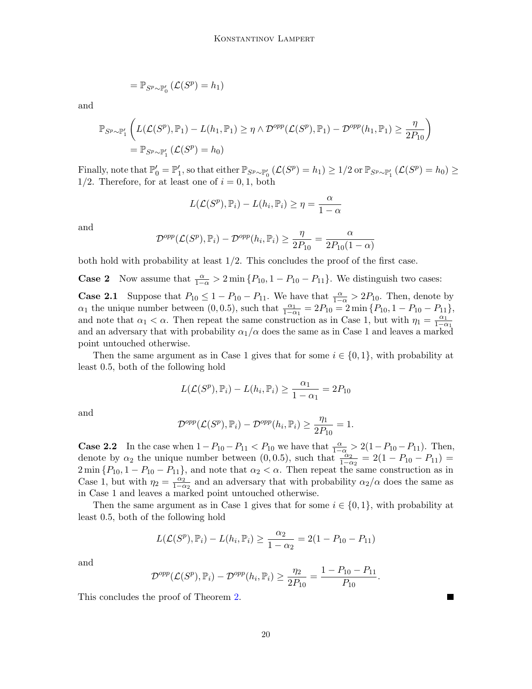$$
= \mathbb{P}_{S^p \sim \mathbb{P}'_0} \left( \mathcal{L}(S^p) = h_1 \right)
$$

and

$$
\mathbb{P}_{S^p \sim \mathbb{P}'_1} \left( L(\mathcal{L}(S^p), \mathbb{P}_1) - L(h_1, \mathbb{P}_1) \ge \eta \wedge \mathcal{D}^{opp}(\mathcal{L}(S^p), \mathbb{P}_1) - \mathcal{D}^{opp}(h_1, \mathbb{P}_1) \ge \frac{\eta}{2P_{10}} \right)
$$
  
=  $\mathbb{P}_{S^p \sim \mathbb{P}'_1} (\mathcal{L}(S^p) = h_0)$ 

Finally, note that  $\mathbb{P}'_0 = \mathbb{P}'_1$ , so that either  $\mathbb{P}_{S^p \sim \mathbb{P}'_0}$   $(\mathcal{L}(S^p) = h_1) \geq 1/2$  or  $\mathbb{P}_{S^p \sim \mathbb{P}'_1}$   $(\mathcal{L}(S^p) = h_0) \geq$  $1/2$ . Therefore, for at least one of  $i = 0, 1$ , both

$$
L(\mathcal{L}(S^p), \mathbb{P}_i) - L(h_i, \mathbb{P}_i) \ge \eta = \frac{\alpha}{1 - \alpha}
$$

and

$$
\mathcal{D}^{opp}(\mathcal{L}(S^p), \mathbb{P}_i) - \mathcal{D}^{opp}(h_i, \mathbb{P}_i) \ge \frac{\eta}{2P_{10}} = \frac{\alpha}{2P_{10}(1-\alpha)}
$$

both hold with probability at least  $1/2$ . This concludes the proof of the first case.

**Case 2** Now assume that  $\frac{\alpha}{1-\alpha} > 2 \min \{P_{10}, 1 - P_{10} - P_{11}\}$ . We distinguish two cases:

**Case 2.1** Suppose that  $P_{10} \le 1 - P_{10} - P_{11}$ . We have that  $\frac{\alpha}{1-\alpha} > 2P_{10}$ . Then, denote by  $\alpha_1$  the unique number between (0,0.5), such that  $\frac{\alpha_1}{1-\alpha_1} = 2P_{10} = 2 \min \{P_{10}, 1 - P_{10} - P_{11}\},\$ and note that  $\alpha_1 < \alpha$ . Then repeat the same construction as in Case 1, but with  $\eta_1 = \frac{\alpha_1}{1-\alpha_1}$  $1-\alpha_1$ and an adversary that with probability  $\alpha_1/\alpha$  does the same as in Case 1 and leaves a marked point untouched otherwise.

Then the same argument as in Case 1 gives that for some  $i \in \{0, 1\}$ , with probability at least 0.5, both of the following hold

$$
L(\mathcal{L}(S^p), \mathbb{P}_i) - L(h_i, \mathbb{P}_i) \ge \frac{\alpha_1}{1 - \alpha_1} = 2P_{10}
$$

and

$$
\mathcal{D}^{opp}(\mathcal{L}(S^p), \mathbb{P}_i) - \mathcal{D}^{opp}(h_i, \mathbb{P}_i) \ge \frac{\eta_1}{2P_{10}} = 1.
$$

**Case 2.2** In the case when  $1 - P_{10} - P_{11} < P_{10}$  we have that  $\frac{\alpha}{1-\alpha} > 2(1 - P_{10} - P_{11})$ . Then, denote by  $\alpha_2$  the unique number between  $(0, 0.5)$ , such that  $\frac{\alpha_2}{1-\alpha_2} = 2(1 - P_{10} - P_{11}) =$  $2 \min \{P_{10}, 1 - P_{10} - P_{11}\},$  and note that  $\alpha_2 < \alpha$ . Then repeat the same construction as in Case 1, but with  $\eta_2 = \frac{\alpha_2}{1-\alpha_1}$  $\frac{\alpha_2}{1-\alpha_2}$  and an adversary that with probability  $\alpha_2/\alpha$  does the same as in Case 1 and leaves a marked point untouched otherwise.

Then the same argument as in Case 1 gives that for some  $i \in \{0, 1\}$ , with probability at least 0.5, both of the following hold

$$
L(\mathcal{L}(S^{p}), \mathbb{P}_{i}) - L(h_{i}, \mathbb{P}_{i}) \ge \frac{\alpha_{2}}{1 - \alpha_{2}} = 2(1 - P_{10} - P_{11})
$$

and

$$
\mathcal{D}^{opp}(\mathcal{L}(S^p), \mathbb{P}_i) - \mathcal{D}^{opp}(h_i, \mathbb{P}_i) \ge \frac{\eta_2}{2P_{10}} = \frac{1 - P_{10} - P_{11}}{P_{10}}.
$$

 $\blacksquare$ 

This concludes the proof of Theorem [2.](#page-3-0)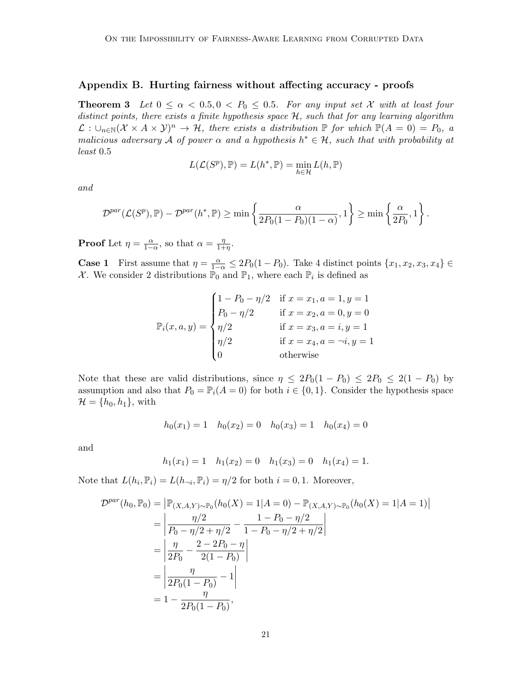## Appendix B. Hurting fairness without affecting accuracy - proofs

<span id="page-6-0"></span>**Theorem 3** Let  $0 \le \alpha < 0.5, 0 < P_0 \le 0.5$ . For any input set X with at least four distinct points, there exists a finite hypothesis space  $H$ , such that for any learning algorithm  $\mathcal{L}: \bigcup_{n\in\mathbb{N}}(\mathcal{X}\times A\times\mathcal{Y})^n\to\mathcal{H}$ , there exists a distribution  $\mathbb{P}$  for which  $\mathbb{P}(A=0)=P_0$ , a malicious adversary A of power  $\alpha$  and a hypothesis  $h^* \in \mathcal{H}$ , such that with probability at least 0.5

$$
L(\mathcal{L}(S^{p}), \mathbb{P}) = L(h^*, \mathbb{P}) = \min_{h \in \mathcal{H}} L(h, \mathbb{P})
$$

and

$$
\mathcal{D}^{par}(\mathcal{L}(S^p), \mathbb{P}) - \mathcal{D}^{par}(h^*, \mathbb{P}) \ge \min\left\{\frac{\alpha}{2P_0(1 - P_0)(1 - \alpha)}, 1\right\} \ge \min\left\{\frac{\alpha}{2P_0}, 1\right\}.
$$

**Proof** Let  $\eta = \frac{\alpha}{1-\alpha}$ , so that  $\alpha = \frac{\eta}{1+\alpha}$  $\frac{\eta}{1+\eta}$ .

**Case 1** First assume that  $\eta = \frac{\alpha}{1-\alpha} \leq 2P_0(1-P_0)$ . Take 4 distinct points  $\{x_1, x_2, x_3, x_4\} \in$ X. We consider 2 distributions  $\mathbb{P}_0$  and  $\mathbb{P}_1$ , where each  $\mathbb{P}_i$  is defined as

$$
\mathbb{P}_i(x, a, y) = \begin{cases}\n1 - P_0 - \eta/2 & \text{if } x = x_1, a = 1, y = 1 \\
P_0 - \eta/2 & \text{if } x = x_2, a = 0, y = 0 \\
\eta/2 & \text{if } x = x_3, a = i, y = 1 \\
\eta/2 & \text{if } x = x_4, a = \neg i, y = 1 \\
0 & \text{otherwise}\n\end{cases}
$$

Note that these are valid distributions, since  $\eta \leq 2P_0(1 - P_0) \leq 2P_0 \leq 2(1 - P_0)$  by assumption and also that  $P_0 = \mathbb{P}_i(A = 0)$  for both  $i \in \{0, 1\}$ . Consider the hypothesis space  $\mathcal{H} = \{h_0, h_1\}$ , with

$$
h_0(x_1) = 1 \quad h_0(x_2) = 0 \quad h_0(x_3) = 1 \quad h_0(x_4) = 0
$$

and

$$
h_1(x_1) = 1
$$
  $h_1(x_2) = 0$   $h_1(x_3) = 0$   $h_1(x_4) = 1$ .

Note that  $L(h_i, \mathbb{P}_i) = L(h_{\neg i}, \mathbb{P}_i) = \eta/2$  for both  $i = 0, 1$ . Moreover,

$$
\mathcal{D}^{par}(h_0, \mathbb{P}_0) = |\mathbb{P}_{(X, A, Y) \sim \mathbb{P}_0}(h_0(X) = 1 | A = 0) - \mathbb{P}_{(X, A, Y) \sim \mathbb{P}_0}(h_0(X) = 1 | A = 1)|
$$
  
= 
$$
\left| \frac{\eta/2}{P_0 - \eta/2 + \eta/2} - \frac{1 - P_0 - \eta/2}{1 - P_0 - \eta/2 + \eta/2} \right|
$$
  
= 
$$
\left| \frac{\eta}{2P_0} - \frac{2 - 2P_0 - \eta}{2(1 - P_0)} \right|
$$
  
= 
$$
\left| \frac{\eta}{2P_0(1 - P_0)} - 1 \right|
$$
  
= 
$$
1 - \frac{\eta}{2P_0(1 - P_0)},
$$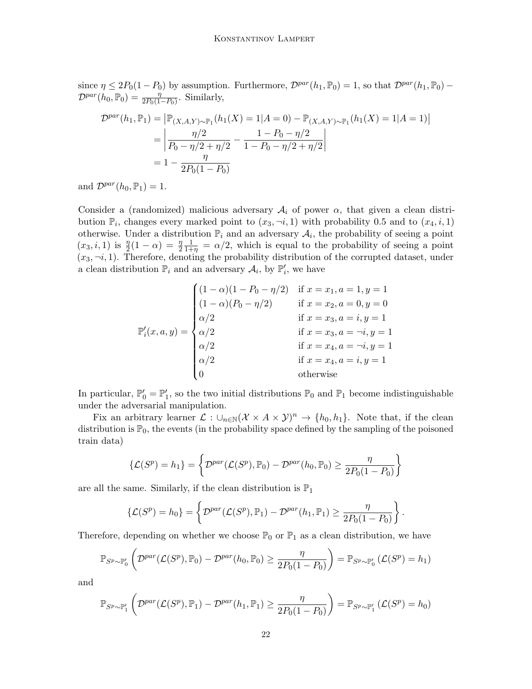since  $\eta \leq 2P_0(1-P_0)$  by assumption. Furthermore,  $\mathcal{D}^{par}(h_1,\mathbb{P}_0) = 1$ , so that  $\mathcal{D}^{par}(h_1,\mathbb{P}_0)$  –  $\mathcal{D}^{par}(h_0, \mathbb{P}_0) = \frac{\eta}{2P_0(1-P_0)}$ . Similarly,

$$
\mathcal{D}^{par}(h_1, \mathbb{P}_1) = |\mathbb{P}_{(X, A, Y) \sim \mathbb{P}_1}(h_1(X) = 1 | A = 0) - \mathbb{P}_{(X, A, Y) \sim \mathbb{P}_1}(h_1(X) = 1 | A = 1)|
$$
  
= 
$$
\left| \frac{\eta/2}{P_0 - \eta/2 + \eta/2} - \frac{1 - P_0 - \eta/2}{1 - P_0 - \eta/2 + \eta/2} \right|
$$
  
= 
$$
1 - \frac{\eta}{2P_0(1 - P_0)}
$$

and  $\mathcal{D}^{par}(h_0, \mathbb{P}_1) = 1$ .

Consider a (randomized) malicious adversary  $A_i$  of power  $\alpha$ , that given a clean distribution  $\mathbb{P}_i$ , changes every marked point to  $(x_3, \neg i, 1)$  with probability 0.5 and to  $(x_4, i, 1)$ otherwise. Under a distribution  $\mathbb{P}_i$  and an adversary  $\mathcal{A}_i$ , the probability of seeing a point  $(x_3, i, 1)$  is  $\frac{\eta}{2}(1 - \alpha) = \frac{\eta}{2}$  $\frac{1}{1+\eta} = \alpha/2$ , which is equal to the probability of seeing a point  $(x_3, \neg i, 1)$ . Therefore, denoting the probability distribution of the corrupted dataset, under a clean distribution  $\mathbb{P}_i$  and an adversary  $\mathcal{A}_i$ , by  $\mathbb{P}'_i$ , we have

$$
\mathbb{P}'_i(x, a, y) = \begin{cases}\n(1 - \alpha)(1 - P_0 - \eta/2) & \text{if } x = x_1, a = 1, y = 1 \\
(1 - \alpha)(P_0 - \eta/2) & \text{if } x = x_2, a = 0, y = 0 \\
\alpha/2 & \text{if } x = x_3, a = i, y = 1 \\
\alpha/2 & \text{if } x = x_3, a = \neg i, y = 1 \\
\alpha/2 & \text{if } x = x_4, a = \neg i, y = 1 \\
0 & \text{otherwise}\n\end{cases}
$$

In particular,  $\mathbb{P}'_0 = \mathbb{P}'_1$ , so the two initial distributions  $\mathbb{P}_0$  and  $\mathbb{P}_1$  become indistinguishable under the adversarial manipulation.

Fix an arbitrary learner  $\mathcal{L}: \cup_{n\in\mathbb{N}}(\mathcal{X}\times A\times\mathcal{Y})^n \to \{h_0, h_1\}$ . Note that, if the clean distribution is  $\mathbb{P}_0$ , the events (in the probability space defined by the sampling of the poisoned train data)

$$
\{\mathcal{L}(S^p) = h_1\} = \left\{\mathcal{D}^{par}(\mathcal{L}(S^p), \mathbb{P}_0) - \mathcal{D}^{par}(h_0, \mathbb{P}_0) \ge \frac{\eta}{2P_0(1 - P_0)}\right\}
$$

are all the same. Similarly, if the clean distribution is  $\mathbb{P}_1$ 

$$
\{\mathcal{L}(S^p)=h_0\}=\left\{\mathcal{D}^{par}(\mathcal{L}(S^p),\mathbb{P}_1)-\mathcal{D}^{par}(h_1,\mathbb{P}_1)\geq \frac{\eta}{2P_0(1-P_0)}\right\}.
$$

Therefore, depending on whether we choose  $\mathbb{P}_0$  or  $\mathbb{P}_1$  as a clean distribution, we have

$$
\mathbb{P}_{S^p \sim \mathbb{P}_0'} \left( \mathcal{D}^{par}(\mathcal{L}(S^p), \mathbb{P}_0) - \mathcal{D}^{par}(h_0, \mathbb{P}_0) \ge \frac{\eta}{2P_0(1 - P_0)} \right) = \mathbb{P}_{S^p \sim \mathbb{P}_0'} \left( \mathcal{L}(S^p) = h_1 \right)
$$

and

$$
\mathbb{P}_{S^p \sim \mathbb{P}'_1} \left( \mathcal{D}^{par}(\mathcal{L}(S^p), \mathbb{P}_1) - \mathcal{D}^{par}(h_1, \mathbb{P}_1) \ge \frac{\eta}{2P_0(1 - P_0)} \right) = \mathbb{P}_{S^p \sim \mathbb{P}'_1} \left( \mathcal{L}(S^p) = h_0 \right)
$$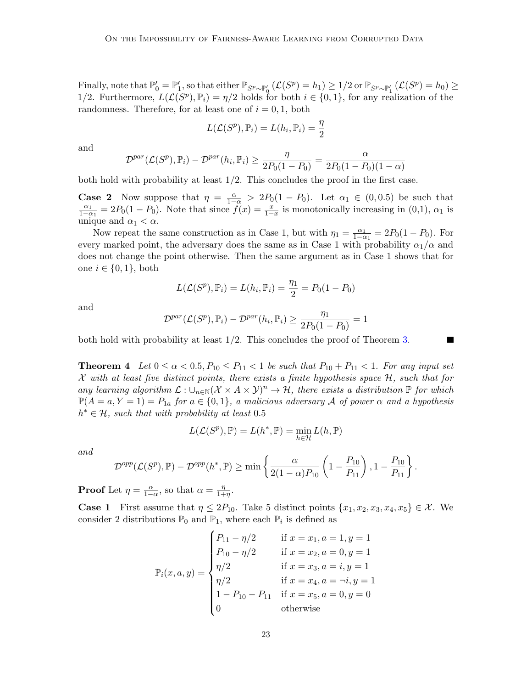Finally, note that  $\mathbb{P}'_0 = \mathbb{P}'_1$ , so that either  $\mathbb{P}_{S^p \sim \mathbb{P}'_0}$   $(\mathcal{L}(S^p) = h_1) \geq 1/2$  or  $\mathbb{P}_{S^p \sim \mathbb{P}'_1}$   $(\mathcal{L}(S^p) = h_0) \geq$ 1/2. Furthermore,  $L(\mathcal{L}(S^p), \mathbb{P}_i) = \eta/2$  holds for both  $i \in \{0, 1\}$ , for any realization of the randomness. Therefore, for at least one of  $i = 0, 1$ , both

$$
L(\mathcal{L}(S^p), \mathbb{P}_i) = L(h_i, \mathbb{P}_i) = \frac{\eta}{2}
$$

and

$$
\mathcal{D}^{par}(\mathcal{L}(S^p), \mathbb{P}_i) - \mathcal{D}^{par}(h_i, \mathbb{P}_i) \ge \frac{\eta}{2P_0(1 - P_0)} = \frac{\alpha}{2P_0(1 - P_0)(1 - \alpha)}
$$

both hold with probability at least  $1/2$ . This concludes the proof in the first case.

**Case 2** Now suppose that  $\eta = \frac{\alpha}{1-\alpha} > 2P_0(1-P_0)$ . Let  $\alpha_1 \in (0,0.5)$  be such that  $\alpha_1$  $\frac{\alpha_1}{1-\alpha_1} = 2P_0(1-P_0)$ . Note that since  $\tilde{f}(x) = \frac{x}{1-x}$  is monotonically increasing in (0,1),  $\alpha_1$  is unique and  $\alpha_1 < \alpha$ .

Now repeat the same construction as in Case 1, but with  $\eta_1 = \frac{\alpha_1}{1-\alpha_1}$  $\frac{\alpha_1}{1-\alpha_1} = 2P_0(1-P_0)$ . For every marked point, the adversary does the same as in Case 1 with probability  $\alpha_1/\alpha$  and does not change the point otherwise. Then the same argument as in Case 1 shows that for one  $i \in \{0,1\}$ , both

$$
L(\mathcal{L}(S^p), \mathbb{P}_i) = L(h_i, \mathbb{P}_i) = \frac{\eta_1}{2} = P_0(1 - P_0)
$$

and

$$
\mathcal{D}^{par}(\mathcal{L}(S^p), \mathbb{P}_i) - \mathcal{D}^{par}(h_i, \mathbb{P}_i) \ge \frac{\eta_1}{2P_0(1 - P_0)} = 1
$$

both hold with probability at least 1/2. This concludes the proof of Theorem [3.](#page-6-0)

<span id="page-8-0"></span>**Theorem 4** Let  $0 \leq \alpha < 0.5$ ,  $P_{10} \leq P_{11} < 1$  be such that  $P_{10} + P_{11} < 1$ . For any input set X with at least five distinct points, there exists a finite hypothesis space  $H$ , such that for any learning algorithm  $\mathcal{L}: \cup_{n\in\mathbb{N}}(\mathcal{X}\times A\times\mathcal{Y})^n\to\mathcal{H}$ , there exists a distribution  $\mathbb P$  for which  $\mathbb{P}(A=a, Y=1) = P_{1a}$  for  $a \in \{0,1\}$ , a malicious adversary A of power  $\alpha$  and a hypothesis  $h^* \in \mathcal{H}$ , such that with probability at least 0.5

$$
L(\mathcal{L}(S^{p}), \mathbb{P}) = L(h^*, \mathbb{P}) = \min_{h \in \mathcal{H}} L(h, \mathbb{P})
$$

and

$$
\mathcal{D}^{opp}(\mathcal{L}(S^p), \mathbb{P}) - \mathcal{D}^{opp}(h^*, \mathbb{P}) \ge \min\left\{\frac{\alpha}{2(1-\alpha)P_{10}}\left(1-\frac{P_{10}}{P_{11}}\right), 1-\frac{P_{10}}{P_{11}}\right\}.
$$

**Proof** Let  $\eta = \frac{\alpha}{1-\alpha}$ , so that  $\alpha = \frac{\eta}{1+\alpha}$  $\frac{\eta}{1+\eta}$ .

**Case 1** First assume that  $\eta \leq 2P_{10}$ . Take 5 distinct points  $\{x_1, x_2, x_3, x_4, x_5\} \in \mathcal{X}$ . We consider 2 distributions  $\mathbb{P}_0$  and  $\mathbb{P}_1$ , where each  $\mathbb{P}_i$  is defined as

$$
\mathbb{P}_{i}(x, a, y) = \begin{cases}\nP_{11} - \eta/2 & \text{if } x = x_{1}, a = 1, y = 1 \\
P_{10} - \eta/2 & \text{if } x = x_{2}, a = 0, y = 1 \\
\eta/2 & \text{if } x = x_{3}, a = i, y = 1 \\
\eta/2 & \text{if } x = x_{4}, a = \neg i, y = 1 \\
1 - P_{10} - P_{11} & \text{if } x = x_{5}, a = 0, y = 0 \\
0 & \text{otherwise}\n\end{cases}
$$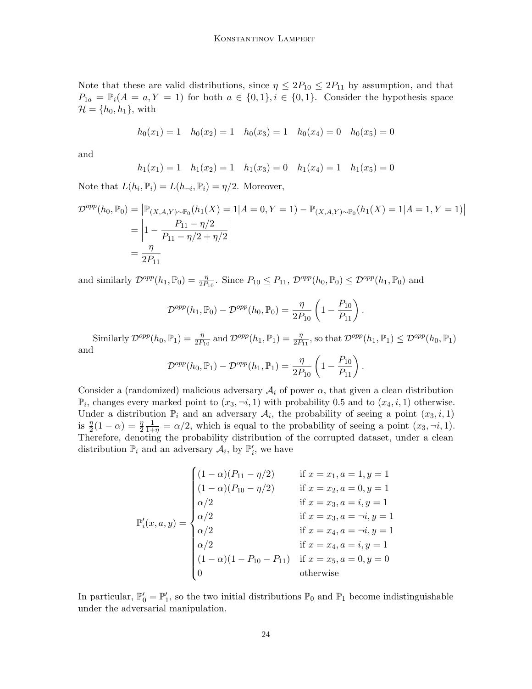Note that these are valid distributions, since  $\eta \leq 2P_{10} \leq 2P_{11}$  by assumption, and that  $P_{1a} = \mathbb{P}_i(A = a, Y = 1)$  for both  $a \in \{0,1\}, i \in \{0,1\}.$  Consider the hypothesis space  $\mathcal{H} = \{h_0, h_1\}$ , with

$$
h_0(x_1) = 1 \quad h_0(x_2) = 1 \quad h_0(x_3) = 1 \quad h_0(x_4) = 0 \quad h_0(x_5) = 0
$$

and

$$
h_1(x_1) = 1
$$
  $h_1(x_2) = 1$   $h_1(x_3) = 0$   $h_1(x_4) = 1$   $h_1(x_5) = 0$ 

Note that  $L(h_i, \mathbb{P}_i) = L(h_{\neg i}, \mathbb{P}_i) = \eta/2$ . Moreover,

$$
\mathcal{D}^{opp}(h_0, \mathbb{P}_0) = \left| \mathbb{P}_{(X, A, Y) \sim \mathbb{P}_0} (h_1(X) = 1 | A = 0, Y = 1) - \mathbb{P}_{(X, A, Y) \sim \mathbb{P}_0} (h_1(X) = 1 | A = 1, Y = 1) \right|
$$
  
= 
$$
\left| 1 - \frac{P_{11} - \eta/2}{P_{11} - \eta/2 + \eta/2} \right|
$$
  
= 
$$
\frac{\eta}{2P_{11}}
$$

and similarly  $\mathcal{D}^{opp}(h_1,\mathbb{P}_0) = \frac{\eta}{2P_{10}}$ . Since  $P_{10} \leq P_{11}$ ,  $\mathcal{D}^{opp}(h_0,\mathbb{P}_0) \leq \mathcal{D}^{opp}(h_1,\mathbb{P}_0)$  and

$$
\mathcal{D}^{opp}(h_1, \mathbb{P}_0) - \mathcal{D}^{opp}(h_0, \mathbb{P}_0) = \frac{\eta}{2P_{10}} \left( 1 - \frac{P_{10}}{P_{11}} \right)
$$

.

Similarly  $\mathcal{D}^{opp}(h_0, \mathbb{P}_1) = \frac{\eta}{2P_{10}}$  and  $\mathcal{D}^{opp}(h_1, \mathbb{P}_1) = \frac{\eta}{2P_{11}}$ , so that  $\mathcal{D}^{opp}(h_1, \mathbb{P}_1) \leq \mathcal{D}^{opp}(h_0, \mathbb{P}_1)$ and

$$
\mathcal{D}^{opp}(h_0, \mathbb{P}_1) - \mathcal{D}^{opp}(h_1, \mathbb{P}_1) = \frac{\eta}{2P_{10}} \left( 1 - \frac{P_{10}}{P_{11}} \right).
$$

Consider a (randomized) malicious adversary  $A_i$  of power  $\alpha$ , that given a clean distribution  $\mathbb{P}_i$ , changes every marked point to  $(x_3, \neg i, 1)$  with probability 0.5 and to  $(x_4, i, 1)$  otherwise. Under a distribution  $\mathbb{P}_i$  and an adversary  $\mathcal{A}_i$ , the probability of seeing a point  $(x_3, i, 1)$ is  $\frac{\eta}{2}(1-\alpha) = \frac{\eta}{2}$  $\frac{1}{1+\eta} = \alpha/2$ , which is equal to the probability of seeing a point  $(x_3, \neg i, 1)$ . Therefore, denoting the probability distribution of the corrupted dataset, under a clean distribution  $\mathbb{P}_i$  and an adversary  $\mathcal{A}_i$ , by  $\mathbb{P}'_i$ , we have

$$
\mathbb{P}'_i(x, a, y) = \begin{cases}\n(1 - \alpha)(P_{11} - \eta/2) & \text{if } x = x_1, a = 1, y = 1 \\
(1 - \alpha)(P_{10} - \eta/2) & \text{if } x = x_2, a = 0, y = 1 \\
\alpha/2 & \text{if } x = x_3, a = i, y = 1 \\
\alpha/2 & \text{if } x = x_3, a = \neg i, y = 1 \\
\alpha/2 & \text{if } x = x_4, a = \neg i, y = 1 \\
\alpha/2 & \text{if } x = x_4, a = i, y = 1 \\
(1 - \alpha)(1 - P_{10} - P_{11}) & \text{if } x = x_5, a = 0, y = 0 \\
0 & \text{otherwise}\n\end{cases}
$$

In particular,  $\mathbb{P}'_0 = \mathbb{P}'_1$ , so the two initial distributions  $\mathbb{P}_0$  and  $\mathbb{P}_1$  become indistinguishable under the adversarial manipulation.